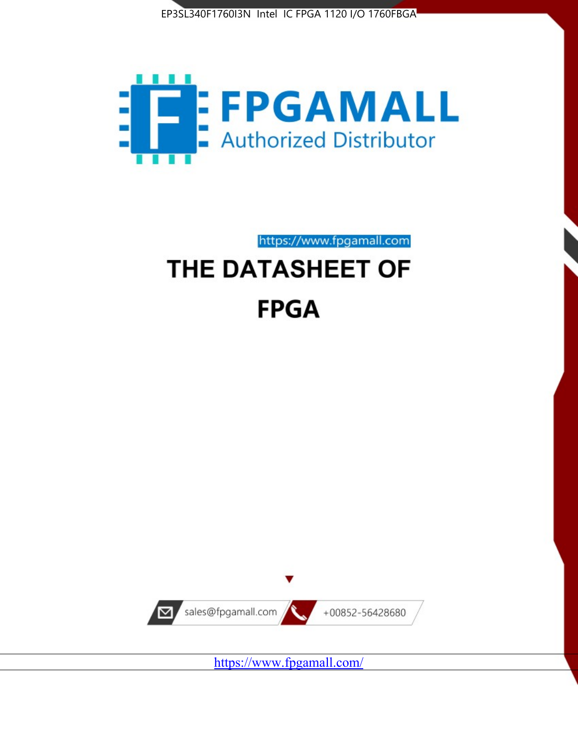



https://www.fpgamall.com

# THE DATASHEET OF **FPGA**



<https://www.fpgamall.com/>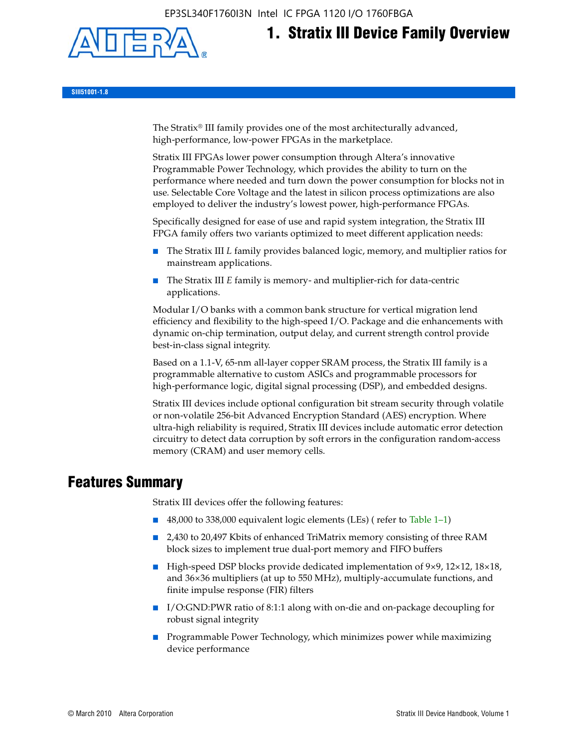EP3SL340F1760I3N Intel IC FPGA 1120 I/O 1760FBGA



**1. Stratix III Device Family Overview**

**SIII51001-1.8**

The Stratix® III family provides one of the most architecturally advanced, high-performance, low-power FPGAs in the marketplace.

Stratix III FPGAs lower power consumption through Altera's innovative Programmable Power Technology, which provides the ability to turn on the performance where needed and turn down the power consumption for blocks not in use. Selectable Core Voltage and the latest in silicon process optimizations are also employed to deliver the industry's lowest power, high-performance FPGAs.

Specifically designed for ease of use and rapid system integration, the Stratix III FPGA family offers two variants optimized to meet different application needs:

- The Stratix III *L* family provides balanced logic, memory, and multiplier ratios for mainstream applications.
- The Stratix III *E* family is memory- and multiplier-rich for data-centric applications.

Modular I/O banks with a common bank structure for vertical migration lend efficiency and flexibility to the high-speed I/O. Package and die enhancements with dynamic on-chip termination, output delay, and current strength control provide best-in-class signal integrity.

Based on a 1.1-V, 65-nm all-layer copper SRAM process, the Stratix III family is a programmable alternative to custom ASICs and programmable processors for high-performance logic, digital signal processing (DSP), and embedded designs.

Stratix III devices include optional configuration bit stream security through volatile or non-volatile 256-bit Advanced Encryption Standard (AES) encryption. Where ultra-high reliability is required, Stratix III devices include automatic error detection circuitry to detect data corruption by soft errors in the configuration random-access memory (CRAM) and user memory cells.

# **Features Summary**

Stratix III devices offer the following features:

- 48,000 to 338,000 equivalent logic elements (LEs) (refer to Table 1–1)
- 2,430 to 20,497 Kbits of enhanced TriMatrix memory consisting of three RAM block sizes to implement true dual-port memory and FIFO buffers
- High-speed DSP blocks provide dedicated implementation of 9×9, 12×12, 18×18, and 36×36 multipliers (at up to 550 MHz), multiply-accumulate functions, and finite impulse response (FIR) filters
- I/O:GND:PWR ratio of 8:1:1 along with on-die and on-package decoupling for robust signal integrity
- Programmable Power Technology, which minimizes power while maximizing device performance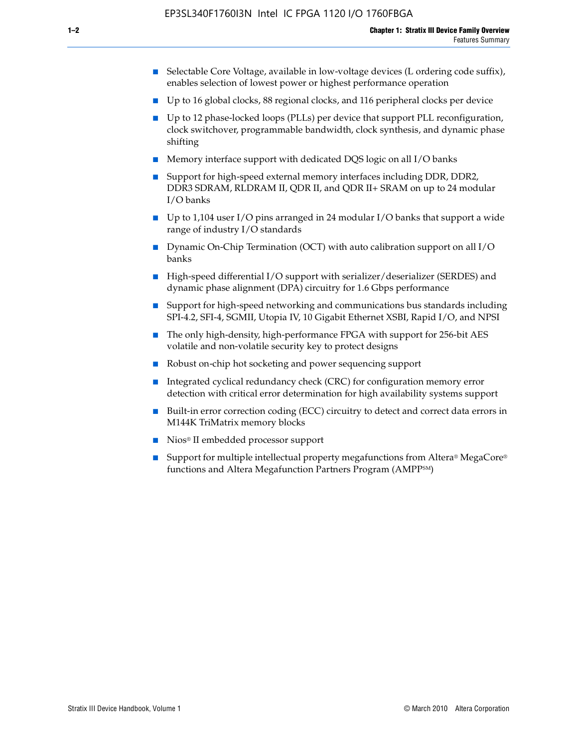- Selectable Core Voltage, available in low-voltage devices (L ordering code suffix), enables selection of lowest power or highest performance operation
- Up to 16 global clocks, 88 regional clocks, and 116 peripheral clocks per device
- Up to 12 phase-locked loops (PLLs) per device that support PLL reconfiguration, clock switchover, programmable bandwidth, clock synthesis, and dynamic phase shifting
- Memory interface support with dedicated DQS logic on all I/O banks
- Support for high-speed external memory interfaces including DDR, DDR2, DDR3 SDRAM, RLDRAM II, QDR II, and QDR II+ SRAM on up to 24 modular I/O banks
- Up to 1,104 user I/O pins arranged in 24 modular I/O banks that support a wide range of industry I/O standards
- Dynamic On-Chip Termination (OCT) with auto calibration support on all  $I/O$ banks
- High-speed differential I/O support with serializer/deserializer (SERDES) and dynamic phase alignment (DPA) circuitry for 1.6 Gbps performance
- Support for high-speed networking and communications bus standards including SPI-4.2, SFI-4, SGMII, Utopia IV, 10 Gigabit Ethernet XSBI, Rapid I/O, and NPSI
- The only high-density, high-performance FPGA with support for 256-bit AES volatile and non-volatile security key to protect designs
- Robust on-chip hot socketing and power sequencing support
- Integrated cyclical redundancy check (CRC) for configuration memory error detection with critical error determination for high availability systems support
- Built-in error correction coding (ECC) circuitry to detect and correct data errors in M144K TriMatrix memory blocks
- Nios<sup>®</sup> II embedded processor support
- Support for multiple intellectual property megafunctions from Altera® MegaCore® functions and Altera Megafunction Partners Program (AMPPSM)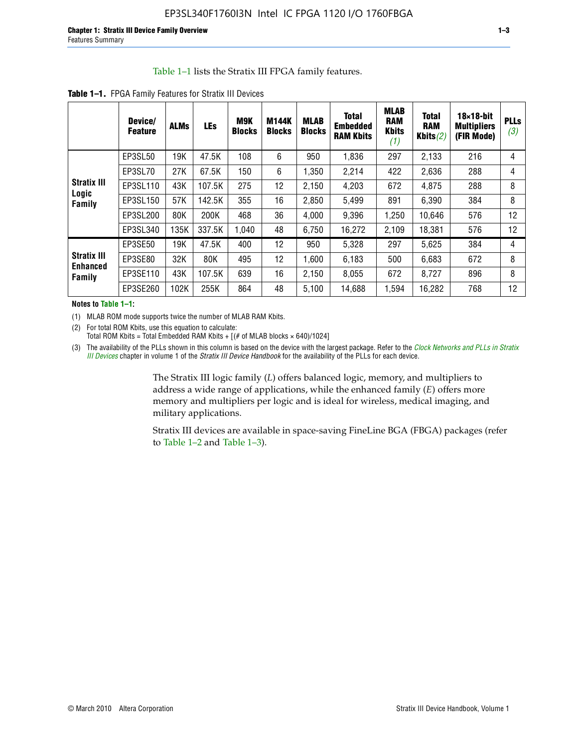#### Table 1–1 lists the Stratix III FPGA family features.

|                                       | Device/<br><b>Feature</b> | <b>ALMs</b> | <b>LEs</b> | <b>M9K</b><br><b>Blocks</b> | <b>M144K</b><br><b>Blocks</b> | <b>MLAB</b><br><b>Blocks</b> | <b>Total</b><br><b>Embedded</b><br><b>RAM Kbits</b> | <b>MLAB</b><br><b>RAM</b><br><b>Kbits</b><br>(1) | <b>Total</b><br><b>RAM</b><br>Kbits $(2)$ | $18\times18$ -bit<br><b>Multipliers</b><br>(FIR Mode) | <b>PLLs</b><br>(3) |
|---------------------------------------|---------------------------|-------------|------------|-----------------------------|-------------------------------|------------------------------|-----------------------------------------------------|--------------------------------------------------|-------------------------------------------|-------------------------------------------------------|--------------------|
|                                       | EP3SL50                   | 19K         | 47.5K      | 108                         | 6                             | 950                          | 1,836                                               | 297                                              | 2,133                                     | 216                                                   | 4                  |
|                                       | EP3SL70                   | 27K         | 67.5K      | 150                         | 6                             | 1,350                        | 2,214                                               | 422                                              | 2,636                                     | 288                                                   | 4                  |
| <b>Stratix III</b>                    | EP3SL110                  | 43K         | 107.5K     | 275                         | 12                            | 2,150                        | 4,203                                               | 672                                              | 4,875                                     | 288                                                   | 8                  |
| Logic<br>Family                       | EP3SL150                  | 57K         | 142.5K     | 355                         | 16                            | 2,850                        | 5,499                                               | 891                                              | 6,390                                     | 384                                                   | 8                  |
|                                       | EP3SL200                  | 80K         | 200K       | 468                         | 36                            | 4,000                        | 9,396                                               | 1,250                                            | 10,646                                    | 576                                                   | 12                 |
|                                       | EP3SL340                  | 135K        | 337.5K     | 1,040                       | 48                            | 6,750                        | 16,272                                              | 2,109                                            | 18,381                                    | 576                                                   | 12                 |
|                                       | EP3SE50                   | 19K         | 47.5K      | 400                         | 12                            | 950                          | 5,328                                               | 297                                              | 5,625                                     | 384                                                   | 4                  |
| <b>Stratix III</b><br><b>Enhanced</b> | EP3SE80                   | 32K         | 80K        | 495                         | 12                            | 1,600                        | 6,183                                               | 500                                              | 6,683                                     | 672                                                   | 8                  |
| Family                                | EP3SE110                  | 43K         | 107.5K     | 639                         | 16                            | 2,150                        | 8.055                                               | 672                                              | 8,727                                     | 896                                                   | 8                  |
|                                       | EP3SE260                  | 102K        | 255K       | 864                         | 48                            | 5,100                        | 14,688                                              | 1,594                                            | 16,282                                    | 768                                                   | 12                 |

**Table 1–1.** FPGA Family Features for Stratix III Devices

**Notes to Table 1–1:**

(1) MLAB ROM mode supports twice the number of MLAB RAM Kbits.

(2) For total ROM Kbits, use this equation to calculate: Total ROM Kbits = Total Embedded RAM Kbits +  $[(# of MLAB blocks × 640)/1024]$ 

(3) The availability of the PLLs shown in this column is based on the device with the largest package. Refer to the *[Clock Networks and PLLs in Stratix](http://www.altera.com/literature/hb/stx3/stx3_siii51006.pdf)  [III Devices](http://www.altera.com/literature/hb/stx3/stx3_siii51006.pdf)* chapter in volume 1 of the *Stratix III Device Handbook* for the availability of the PLLs for each device.

> The Stratix III logic family (*L*) offers balanced logic, memory, and multipliers to address a wide range of applications, while the enhanced family (*E*) offers more memory and multipliers per logic and is ideal for wireless, medical imaging, and military applications.

Stratix III devices are available in space-saving FineLine BGA (FBGA) packages (refer to Table 1–2 and Table 1–3).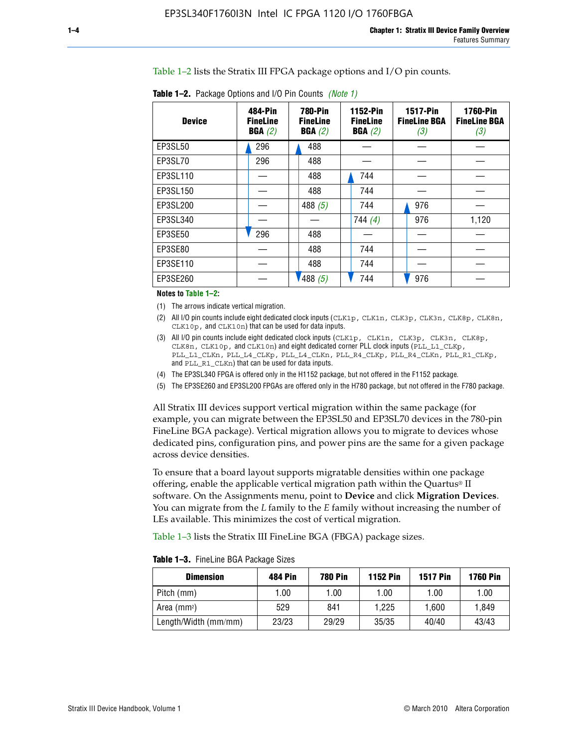Table 1–2 lists the Stratix III FPGA package options and I/O pin counts.

| <b>Device</b> | 484-Pin<br><b>FineLine</b><br>BGA(2) | <b>780-Pin</b><br><b>FineLine</b><br>BGA(2) | 1152-Pin<br><b>FineLine</b><br>BGA(2) | <b>1517-Pin</b><br><b>FineLine BGA</b><br>(3) | <b>1760-Pin</b><br><b>FineLine BGA</b><br>(3) |
|---------------|--------------------------------------|---------------------------------------------|---------------------------------------|-----------------------------------------------|-----------------------------------------------|
| EP3SL50       | 296                                  | 488                                         |                                       |                                               |                                               |
| EP3SL70       | 296                                  | 488                                         |                                       |                                               |                                               |
| EP3SL110      |                                      | 488                                         | 744                                   |                                               |                                               |
| EP3SL150      |                                      | 488                                         | 744                                   |                                               |                                               |
| EP3SL200      |                                      | 488 $(5)$                                   | 744                                   | 976                                           |                                               |
| EP3SL340      |                                      |                                             | 744(4)                                | 976                                           | 1,120                                         |
| EP3SE50       | 296                                  | 488                                         |                                       |                                               |                                               |
| EP3SE80       |                                      | 488                                         | 744                                   |                                               |                                               |
| EP3SE110      |                                      | 488                                         | 744                                   |                                               |                                               |
| EP3SE260      |                                      | '488(5)                                     | 744                                   | 976                                           |                                               |

**Table 1–2.** Package Options and I/O Pin Counts *(Note 1)*

**Notes to Table 1–2:**

(1) The arrows indicate vertical migration.

- (2) All I/O pin counts include eight dedicated clock inputs (CLK1p, CLK1n, CLK3p, CLK3n, CLK8p, CLK8n, CLK10p, and CLK10n) that can be used for data inputs.
- (3) All I/O pin counts include eight dedicated clock inputs (CLK1p, CLK1n, CLK3p, CLK3n, CLK8p, CLK8n, CLK10p, and CLK10n) and eight dedicated corner PLL clock inputs (PLL\_L1\_CLKp, PLL\_L1\_CLKn, PLL\_L4\_CLKp, PLL\_L4\_CLKn, PLL\_R4\_CLKp, PLL\_R4\_CLKn, PLL\_R1\_CLKp, and PLL\_R1\_CLKn) that can be used for data inputs.
- (4) The EP3SL340 FPGA is offered only in the H1152 package, but not offered in the F1152 package.
- (5) The EP3SE260 and EP3SL200 FPGAs are offered only in the H780 package, but not offered in the F780 package.

All Stratix III devices support vertical migration within the same package (for example, you can migrate between the EP3SL50 and EP3SL70 devices in the 780-pin FineLine BGA package). Vertical migration allows you to migrate to devices whose dedicated pins, configuration pins, and power pins are the same for a given package across device densities.

To ensure that a board layout supports migratable densities within one package offering, enable the applicable vertical migration path within the Quartus® II software. On the Assignments menu, point to **Device** and click **Migration Devices**. You can migrate from the *L* family to the *E* family without increasing the number of LEs available. This minimizes the cost of vertical migration.

Table 1–3 lists the Stratix III FineLine BGA (FBGA) package sizes.

**Table 1–3.** FineLine BGA Package Sizes

| <b>Dimension</b>     | <b>484 Pin</b> | <b>780 Pin</b> | <b>1152 Pin</b> | <b>1517 Pin</b> | <b>1760 Pin</b> |
|----------------------|----------------|----------------|-----------------|-----------------|-----------------|
| Pitch (mm)           | 1.00           | 1.00           | 1.00            | 1.00            | 1.00            |
| Area (mmª)           | 529            | 841            | 1.225           | 1.600           | 1.849           |
| Length/Width (mm/mm) | 23/23          | 29/29          | 35/35           | 40/40           | 43/43           |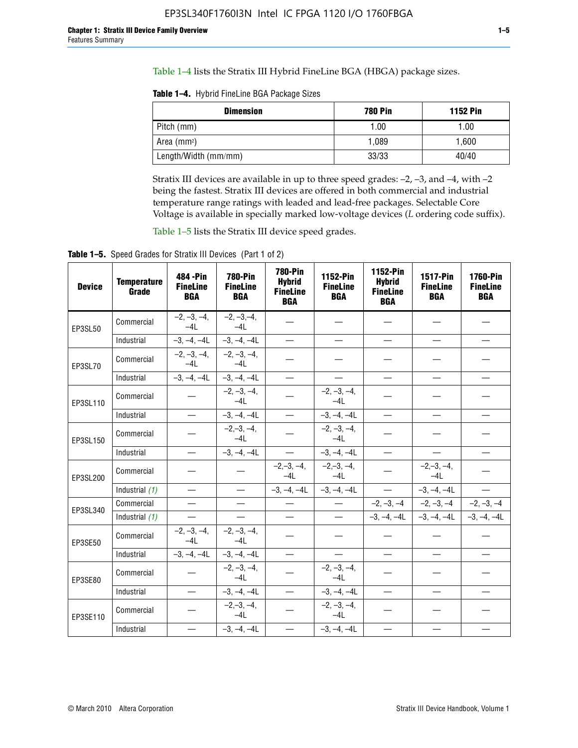Table 1–4 lists the Stratix III Hybrid FineLine BGA (HBGA) package sizes.

**Table 1–4.** Hybrid FineLine BGA Package Sizes

| <b>Dimension</b>     | <b>780 Pin</b> | <b>1152 Pin</b> |
|----------------------|----------------|-----------------|
| Pitch (mm)           | 1.00           | 1.00            |
| Area $(mm^2)$        | 1.089          | 1,600           |
| Length/Width (mm/mm) | 33/33          | 40/40           |

Stratix III devices are available in up to three speed grades: –2, –3, and –4, with –2 being the fastest. Stratix III devices are offered in both commercial and industrial temperature range ratings with leaded and lead-free packages. Selectable Core Voltage is available in specially marked low-voltage devices (*L* ordering code suffix).

Table 1–5 lists the Stratix III device speed grades.

Table 1-5. Speed Grades for Stratix III Devices (Part 1 of 2)

| <b>Device</b> | <b>Temperature</b><br>Grade | 484 - Pin<br><b>FineLine</b><br><b>BGA</b> | <b>780-Pin</b><br><b>FineLine</b><br><b>BGA</b> | <b>780-Pin</b><br><b>Hybrid</b><br><b>FineLine</b><br><b>BGA</b> | 1152-Pin<br><b>FineLine</b><br><b>BGA</b> | 1152-Pin<br><b>Hybrid</b><br><b>FineLine</b><br><b>BGA</b> | <b>1517-Pin</b><br><b>FineLine</b><br><b>BGA</b> | 1760-Pin<br><b>FineLine</b><br><b>BGA</b> |
|---------------|-----------------------------|--------------------------------------------|-------------------------------------------------|------------------------------------------------------------------|-------------------------------------------|------------------------------------------------------------|--------------------------------------------------|-------------------------------------------|
| EP3SL50       | Commercial                  | $-2, -3, -4,$<br>$-4L$                     | $-2, -3, -4,$<br>$-4L$                          |                                                                  |                                           |                                                            |                                                  |                                           |
|               | Industrial                  | $-3, -4, -4L$                              | $-3, -4, -4L$                                   | $\overline{\phantom{0}}$                                         | $\equiv$                                  | $\equiv$                                                   | $\equiv$                                         | $\overline{\phantom{0}}$                  |
| EP3SL70       | Commercial                  | $-2, -3, -4,$<br>$-41$                     | $-2, -3, -4,$<br>$-41$                          |                                                                  |                                           |                                                            |                                                  |                                           |
|               | Industrial                  | $-3, -4, -4L$                              | $-3, -4, -4L$                                   | $\overline{\phantom{0}}$                                         | $\overline{\phantom{0}}$                  | $\equiv$                                                   | $\equiv$                                         | $\equiv$                                  |
| EP3SL110      | Commercial                  |                                            | $-2, -3, -4,$<br>$-4L$                          |                                                                  | $-2, -3, -4,$<br>$-4L$                    |                                                            |                                                  |                                           |
|               | Industrial                  | $\equiv$                                   | $-3, -4, -4L$                                   |                                                                  | $-3, -4, -4L$                             | $\frac{1}{2}$                                              | $\overline{\phantom{0}}$                         | $\equiv$                                  |
| EP3SL150      | Commercial                  |                                            | $-2, -3, -4,$<br>$-41$                          |                                                                  | $-2, -3, -4,$<br>$-41$                    |                                                            |                                                  |                                           |
|               | Industrial                  | $\overline{\phantom{m}}$                   | $-3, -4, -4L$                                   | $\overline{\phantom{m}}$                                         | $-3, -4, -4L$                             | $\overline{\phantom{0}}$                                   |                                                  | $\qquad \qquad -$                         |
| EP3SL200      | Commercial                  |                                            |                                                 | $-2, -3, -4,$<br>$-4L$                                           | $-2,-3,-4,$<br>$-4L$                      |                                                            | $-2,-3,-4,$<br>$-4L$                             |                                           |
|               | Industrial (1)              | $\equiv$                                   | $\equiv$                                        | $-3, -4, -4L$                                                    | $-3, -4, -4L$                             | $\equiv$                                                   | $-3, -4, -4L$                                    | $\equiv$                                  |
| EP3SL340      | Commercial                  | $\qquad \qquad -$                          | $\overline{\phantom{m}}$                        |                                                                  | $\overline{\phantom{0}}$                  |                                                            | $-2, -3, -4$ $-2, -3, -4$                        | $-2, -3, -4$                              |
|               | Industrial (1)              | $\overline{\phantom{m}}$                   | $\qquad \qquad =$                               | $\qquad \qquad -$                                                | $\qquad \qquad -$                         |                                                            | $-3, -4, -4L$ $-3, -4, -4L$                      | $-3, -4, -4L$                             |
| EP3SE50       | Commercial                  | $-2, -3, -4,$<br>$-4L$                     | $-2, -3, -4,$<br>$-4L$                          |                                                                  |                                           |                                                            |                                                  |                                           |
|               | Industrial                  | $-3, -4, -4L$                              | $-3, -4, -4L$                                   | $\equiv$                                                         |                                           |                                                            | $\overline{\phantom{0}}$                         | $\equiv$                                  |
| EP3SE80       | Commercial                  |                                            | $-2, -3, -4,$<br>$-41$                          |                                                                  | $-2, -3, -4,$<br>$-4L$                    |                                                            |                                                  |                                           |
|               | Industrial                  | $\equiv$                                   | $-3, -4, -4L$                                   |                                                                  | $-3, -4, -4L$                             | $\equiv$                                                   | $\equiv$                                         | $\qquad \qquad$                           |
| EP3SE110      | Commercial                  |                                            | $-2, -3, -4,$<br>$-4L$                          |                                                                  | $-2, -3, -4,$<br>$-4L$                    |                                                            |                                                  |                                           |
|               | Industrial                  |                                            | $-3, -4, -4L$                                   |                                                                  | $-3, -4, -4L$                             |                                                            |                                                  |                                           |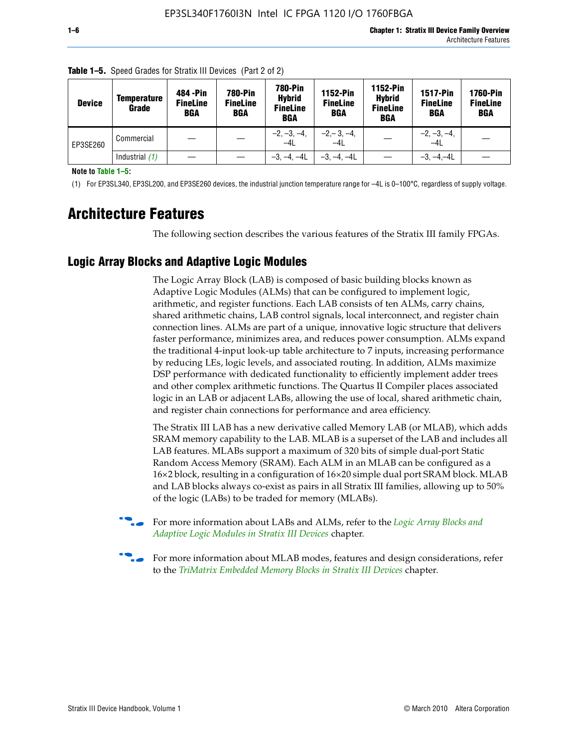| <b>Device</b> | <b>Temperature</b><br>Grade | 484 - Pin<br><b>FineLine</b><br><b>BGA</b> | <b>780-Pin</b><br><b>FineLine</b><br><b>BGA</b> | 780-Pin<br><b>Hybrid</b><br><b>FineLine</b><br><b>BGA</b> | <b>1152-Pin</b><br><b>FineLine</b><br><b>BGA</b> | <b>1152-Pin</b><br><b>Hybrid</b><br><b>FineLine</b><br><b>BGA</b> | <b>1517-Pin</b><br><b>FineLine</b><br>BGA | <b>1760-Pin</b><br><b>FineLine</b><br>BGA |
|---------------|-----------------------------|--------------------------------------------|-------------------------------------------------|-----------------------------------------------------------|--------------------------------------------------|-------------------------------------------------------------------|-------------------------------------------|-------------------------------------------|
| EP3SE260      | Commercial                  |                                            |                                                 | $-2, -3, -4,$<br>$-4L$                                    | $-2, -3, -4,$<br>$-4L$                           |                                                                   | $-2, -3, -4,$<br>$-4L$                    |                                           |
|               | Industrial $(1)$            |                                            |                                                 | $-3, -4, -4L$                                             | $-3, -4, -4L$                                    |                                                                   | $-3, -4, -4L$                             |                                           |

**Table 1–5.** Speed Grades for Stratix III Devices (Part 2 of 2)

**Note to Table 1–5:**

(1) For EP3SL340, EP3SL200, and EP3SE260 devices, the industrial junction temperature range for –4L is 0–100°C, regardless of supply voltage.

# **Architecture Features**

The following section describes the various features of the Stratix III family FPGAs.

# **Logic Array Blocks and Adaptive Logic Modules**

The Logic Array Block (LAB) is composed of basic building blocks known as Adaptive Logic Modules (ALMs) that can be configured to implement logic, arithmetic, and register functions. Each LAB consists of ten ALMs, carry chains, shared arithmetic chains, LAB control signals, local interconnect, and register chain connection lines. ALMs are part of a unique, innovative logic structure that delivers faster performance, minimizes area, and reduces power consumption. ALMs expand the traditional 4-input look-up table architecture to 7 inputs, increasing performance by reducing LEs, logic levels, and associated routing. In addition, ALMs maximize DSP performance with dedicated functionality to efficiently implement adder trees and other complex arithmetic functions. The Quartus II Compiler places associated logic in an LAB or adjacent LABs, allowing the use of local, shared arithmetic chain, and register chain connections for performance and area efficiency.

The Stratix III LAB has a new derivative called Memory LAB (or MLAB), which adds SRAM memory capability to the LAB. MLAB is a superset of the LAB and includes all LAB features. MLABs support a maximum of 320 bits of simple dual-port Static Random Access Memory (SRAM). Each ALM in an MLAB can be configured as a 16×2 block, resulting in a configuration of 16×20 simple dual port SRAM block. MLAB and LAB blocks always co-exist as pairs in all Stratix III families, allowing up to 50% of the logic (LABs) to be traded for memory (MLABs).



f For more information about LABs and ALMs, refer to the *[Logic Array Blocks and](http://www.altera.com/literature/hb/stx3/stx3_siii51002.pdf)  [Adaptive Logic Modules in Stratix III Devices](http://www.altera.com/literature/hb/stx3/stx3_siii51002.pdf)* chapter.



For more information about MLAB modes, features and design considerations, refer to the *[TriMatrix Embedded Memory Blocks in Stratix III Devices](http://www.altera.com/literature/hb/stx3/stx3_siii51004.pdf)* chapter.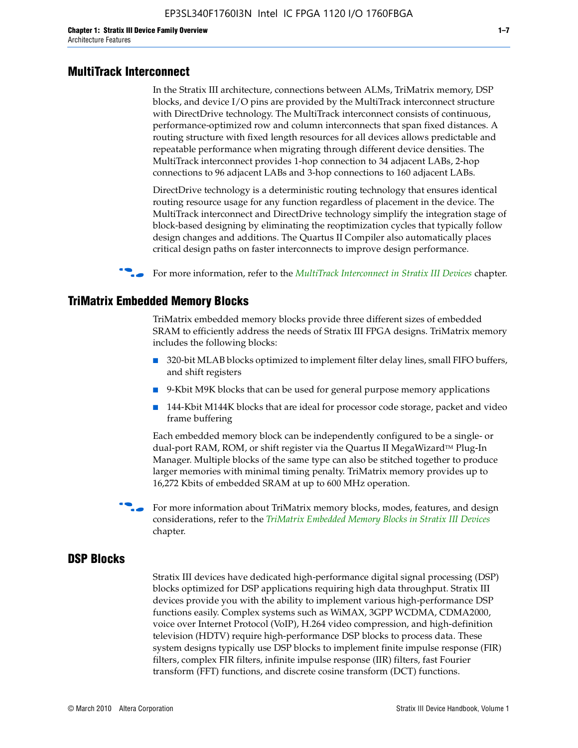#### **MultiTrack Interconnect**

In the Stratix III architecture, connections between ALMs, TriMatrix memory, DSP blocks, and device I/O pins are provided by the MultiTrack interconnect structure with DirectDrive technology. The MultiTrack interconnect consists of continuous, performance-optimized row and column interconnects that span fixed distances. A routing structure with fixed length resources for all devices allows predictable and repeatable performance when migrating through different device densities. The MultiTrack interconnect provides 1-hop connection to 34 adjacent LABs, 2-hop connections to 96 adjacent LABs and 3-hop connections to 160 adjacent LABs.

DirectDrive technology is a deterministic routing technology that ensures identical routing resource usage for any function regardless of placement in the device. The MultiTrack interconnect and DirectDrive technology simplify the integration stage of block-based designing by eliminating the reoptimization cycles that typically follow design changes and additions. The Quartus II Compiler also automatically places critical design paths on faster interconnects to improve design performance.

#### f For more information, refer to the *[MultiTrack Interconnect in Stratix III Devices](http://www.altera.com/literature/hb/stx3/stx3_siii51003.pdf)* chapter.

#### **TriMatrix Embedded Memory Blocks**

TriMatrix embedded memory blocks provide three different sizes of embedded SRAM to efficiently address the needs of Stratix III FPGA designs. TriMatrix memory includes the following blocks:

- 320-bit MLAB blocks optimized to implement filter delay lines, small FIFO buffers, and shift registers
- 9-Kbit M9K blocks that can be used for general purpose memory applications
- 144-Kbit M144K blocks that are ideal for processor code storage, packet and video frame buffering

Each embedded memory block can be independently configured to be a single- or dual-port RAM, ROM, or shift register via the Quartus II MegaWizard™ Plug-In Manager. Multiple blocks of the same type can also be stitched together to produce larger memories with minimal timing penalty. TriMatrix memory provides up to 16,272 Kbits of embedded SRAM at up to 600 MHz operation.

For more information about TriMatrix memory blocks, modes, features, and design considerations, refer to the *[TriMatrix Embedded Memory Blocks in Stratix III Devices](http://www.altera.com/literature/hb/stx3/stx3_siii51004.pdf)* chapter.

#### **DSP Blocks**

Stratix III devices have dedicated high-performance digital signal processing (DSP) blocks optimized for DSP applications requiring high data throughput. Stratix III devices provide you with the ability to implement various high-performance DSP functions easily. Complex systems such as WiMAX, 3GPP WCDMA, CDMA2000, voice over Internet Protocol (VoIP), H.264 video compression, and high-definition television (HDTV) require high-performance DSP blocks to process data. These system designs typically use DSP blocks to implement finite impulse response (FIR) filters, complex FIR filters, infinite impulse response (IIR) filters, fast Fourier transform (FFT) functions, and discrete cosine transform (DCT) functions.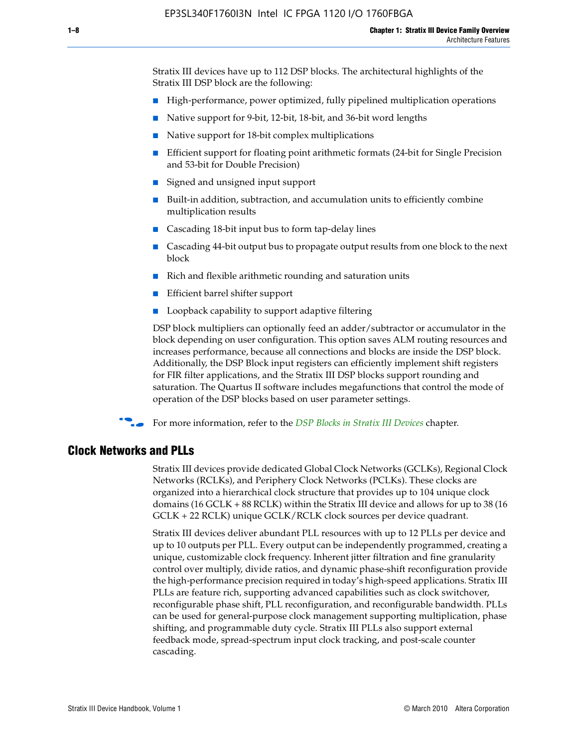Stratix III devices have up to 112 DSP blocks. The architectural highlights of the Stratix III DSP block are the following:

- High-performance, power optimized, fully pipelined multiplication operations
- Native support for 9-bit, 12-bit, 18-bit, and 36-bit word lengths
- Native support for 18-bit complex multiplications
- Efficient support for floating point arithmetic formats (24-bit for Single Precision and 53-bit for Double Precision)
- Signed and unsigned input support
- Built-in addition, subtraction, and accumulation units to efficiently combine multiplication results
- Cascading 18-bit input bus to form tap-delay lines
- Cascading 44-bit output bus to propagate output results from one block to the next block
- Rich and flexible arithmetic rounding and saturation units
- Efficient barrel shifter support
- Loopback capability to support adaptive filtering

DSP block multipliers can optionally feed an adder/subtractor or accumulator in the block depending on user configuration. This option saves ALM routing resources and increases performance, because all connections and blocks are inside the DSP block. Additionally, the DSP Block input registers can efficiently implement shift registers for FIR filter applications, and the Stratix III DSP blocks support rounding and saturation. The Quartus II software includes megafunctions that control the mode of operation of the DSP blocks based on user parameter settings.

f For more information, refer to the *[DSP Blocks in Stratix III Devices](http://www.altera.com/literature/hb/stx3/stx3_siii51005.pdf)* chapter.

#### **Clock Networks and PLLs**

Stratix III devices provide dedicated Global Clock Networks (GCLKs), Regional Clock Networks (RCLKs), and Periphery Clock Networks (PCLKs). These clocks are organized into a hierarchical clock structure that provides up to 104 unique clock domains (16 GCLK + 88 RCLK) within the Stratix III device and allows for up to 38 (16 GCLK + 22 RCLK) unique GCLK/RCLK clock sources per device quadrant.

Stratix III devices deliver abundant PLL resources with up to 12 PLLs per device and up to 10 outputs per PLL. Every output can be independently programmed, creating a unique, customizable clock frequency. Inherent jitter filtration and fine granularity control over multiply, divide ratios, and dynamic phase-shift reconfiguration provide the high-performance precision required in today's high-speed applications. Stratix III PLLs are feature rich, supporting advanced capabilities such as clock switchover, reconfigurable phase shift, PLL reconfiguration, and reconfigurable bandwidth. PLLs can be used for general-purpose clock management supporting multiplication, phase shifting, and programmable duty cycle. Stratix III PLLs also support external feedback mode, spread-spectrum input clock tracking, and post-scale counter cascading.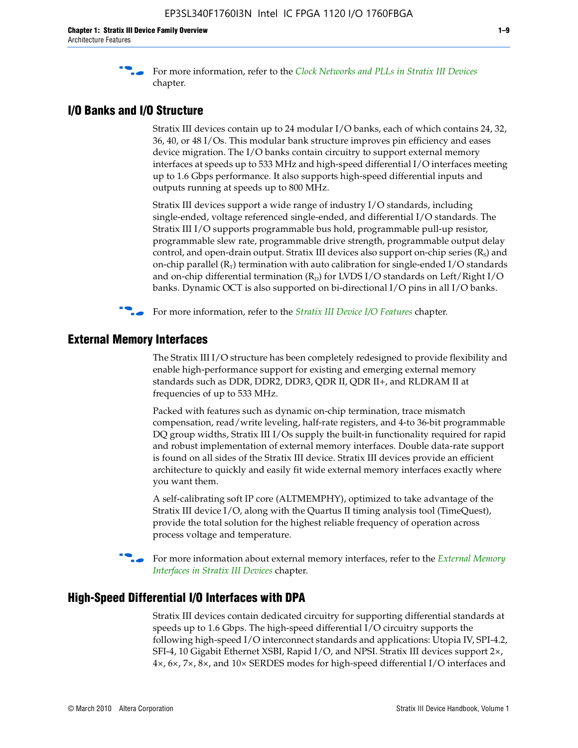f For more information, refer to the *[Clock Networks and PLLs in Stratix III Devices](http://www.altera.com/literature/hb/stx3/stx3_siii51006.pdf)* chapter.

#### **I/O Banks and I/O Structure**

Stratix III devices contain up to 24 modular I/O banks, each of which contains 24, 32, 36, 40, or 48 I/Os. This modular bank structure improves pin efficiency and eases device migration. The I/O banks contain circuitry to support external memory interfaces at speeds up to 533 MHz and high-speed differential I/O interfaces meeting up to 1.6 Gbps performance. It also supports high-speed differential inputs and outputs running at speeds up to 800 MHz.

Stratix III devices support a wide range of industry I/O standards, including single-ended, voltage referenced single-ended, and differential I/O standards. The Stratix III I/O supports programmable bus hold, programmable pull-up resistor, programmable slew rate, programmable drive strength, programmable output delay control, and open-drain output. Stratix III devices also support on-chip series  $(R<sub>s</sub>)$  and on-chip parallel  $(R_T)$  termination with auto calibration for single-ended I/O standards and on-chip differential termination  $(R_D)$  for LVDS I/O standards on Left/Right I/O banks. Dynamic OCT is also supported on bi-directional I/O pins in all I/O banks.

**For more information, refer to the** *[Stratix III Device I/O Features](http://www.altera.com/literature/hb/stx3/stx3_siii51007.pdf)* **chapter.** 

# **External Memory Interfaces**

The Stratix III I/O structure has been completely redesigned to provide flexibility and enable high-performance support for existing and emerging external memory standards such as DDR, DDR2, DDR3, QDR II, QDR II+, and RLDRAM II at frequencies of up to 533 MHz.

Packed with features such as dynamic on-chip termination, trace mismatch compensation, read/write leveling, half-rate registers, and 4-to 36-bit programmable DQ group widths, Stratix III I/Os supply the built-in functionality required for rapid and robust implementation of external memory interfaces. Double data-rate support is found on all sides of the Stratix III device. Stratix III devices provide an efficient architecture to quickly and easily fit wide external memory interfaces exactly where you want them.

A self-calibrating soft IP core (ALTMEMPHY), optimized to take advantage of the Stratix III device I/O, along with the Quartus II timing analysis tool (TimeQuest), provide the total solution for the highest reliable frequency of operation across process voltage and temperature.

f For more information about external memory interfaces, refer to the *[External Memory](http://www.altera.com/literature/hb/stx3/stx3_siii51008.pdf)  [Interfaces in Stratix III Devices](http://www.altera.com/literature/hb/stx3/stx3_siii51008.pdf)* chapter.

#### **High-Speed Differential I/O Interfaces with DPA**

Stratix III devices contain dedicated circuitry for supporting differential standards at speeds up to 1.6 Gbps. The high-speed differential I/O circuitry supports the following high-speed I/O interconnect standards and applications: Utopia IV, SPI-4.2, SFI-4, 10 Gigabit Ethernet XSBI, Rapid I/O, and NPSI. Stratix III devices support 2×, 4×, 6×, 7×, 8×, and 10× SERDES modes for high-speed differential I/O interfaces and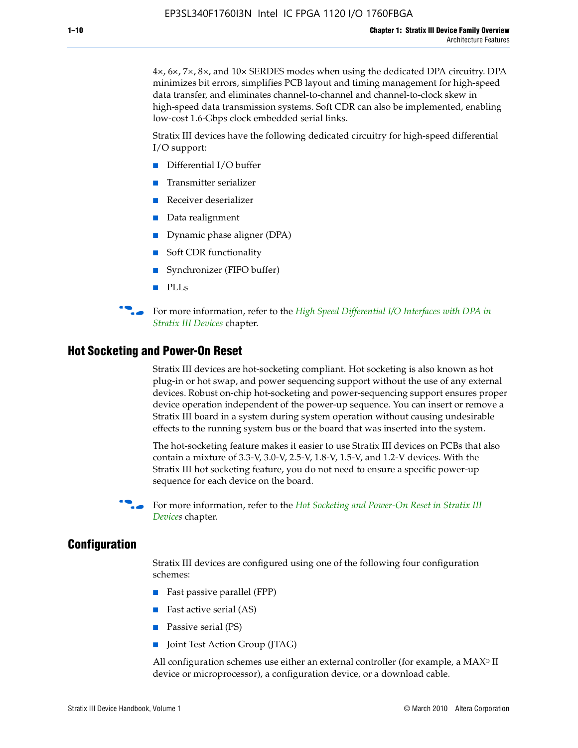4×, 6×, 7×, 8×, and 10× SERDES modes when using the dedicated DPA circuitry. DPA minimizes bit errors, simplifies PCB layout and timing management for high-speed data transfer, and eliminates channel-to-channel and channel-to-clock skew in high-speed data transmission systems. Soft CDR can also be implemented, enabling low-cost 1.6-Gbps clock embedded serial links.

Stratix III devices have the following dedicated circuitry for high-speed differential I/O support:

- Differential I/O buffer
- Transmitter serializer
- Receiver deserializer
- Data realignment
- Dynamic phase aligner (DPA)
- Soft CDR functionality
- Synchronizer (FIFO buffer)
- PLLs

**for more information, refer to the** *High Speed Differential I/O Interfaces with DPA in [Stratix III Devices](http://www.altera.com/literature/hb/stx3/stx3_siii51009.pdf)* chapter.

#### **Hot Socketing and Power-On Reset**

Stratix III devices are hot-socketing compliant. Hot socketing is also known as hot plug-in or hot swap, and power sequencing support without the use of any external devices. Robust on-chip hot-socketing and power-sequencing support ensures proper device operation independent of the power-up sequence. You can insert or remove a Stratix III board in a system during system operation without causing undesirable effects to the running system bus or the board that was inserted into the system.

The hot-socketing feature makes it easier to use Stratix III devices on PCBs that also contain a mixture of 3.3-V, 3.0-V, 2.5-V, 1.8-V, 1.5-V, and 1.2-V devices. With the Stratix III hot socketing feature, you do not need to ensure a specific power-up sequence for each device on the board.

f For more information, refer to the *[Hot Socketing and Power-On Reset in Stratix III](http://www.altera.com/literature/hb/stx3/stx3_siii51010.pdf)  [Device](http://www.altera.com/literature/hb/stx3/stx3_siii51010.pdf)s* chapter.

#### **Configuration**

Stratix III devices are configured using one of the following four configuration schemes:

- Fast passive parallel (FPP)
- Fast active serial (AS)
- Passive serial (PS)
- Joint Test Action Group (JTAG)

All configuration schemes use either an external controller (for example, a  $MAX<sup>®</sup>$  II device or microprocessor), a configuration device, or a download cable.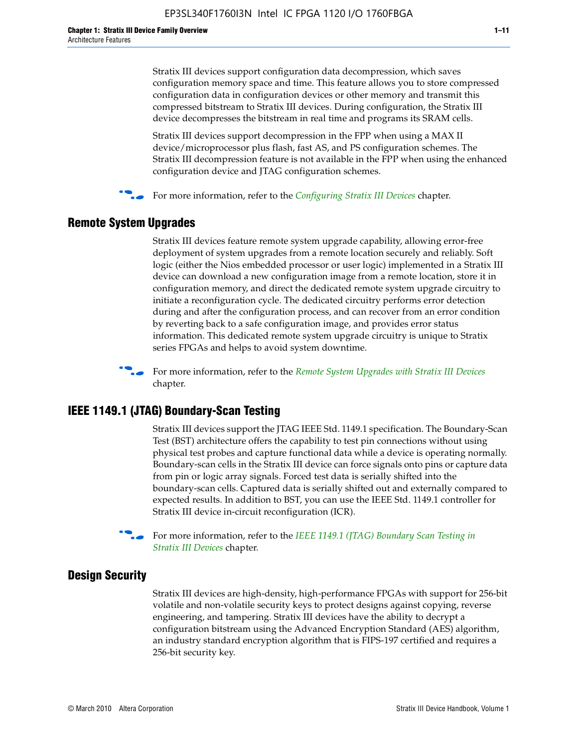Stratix III devices support configuration data decompression, which saves configuration memory space and time. This feature allows you to store compressed configuration data in configuration devices or other memory and transmit this compressed bitstream to Stratix III devices. During configuration, the Stratix III device decompresses the bitstream in real time and programs its SRAM cells.

Stratix III devices support decompression in the FPP when using a MAX II device/microprocessor plus flash, fast AS, and PS configuration schemes. The Stratix III decompression feature is not available in the FPP when using the enhanced configuration device and JTAG configuration schemes.

For more information, refer to the *[Configuring Stratix III Devices](http://www.altera.com/literature/hb/stx3/stx3_siii51011.pdf)* chapter.

# **Remote System Upgrades**

Stratix III devices feature remote system upgrade capability, allowing error-free deployment of system upgrades from a remote location securely and reliably. Soft logic (either the Nios embedded processor or user logic) implemented in a Stratix III device can download a new configuration image from a remote location, store it in configuration memory, and direct the dedicated remote system upgrade circuitry to initiate a reconfiguration cycle. The dedicated circuitry performs error detection during and after the configuration process, and can recover from an error condition by reverting back to a safe configuration image, and provides error status information. This dedicated remote system upgrade circuitry is unique to Stratix series FPGAs and helps to avoid system downtime.



**For more information, refer to the** *[Remote System Upgrades with Stratix III Devices](http://www.altera.com/literature/hb/stx3/stx3_siii51012.pdf)* chapter.

# **IEEE 1149.1 (JTAG) Boundary-Scan Testing**

Stratix III devices support the JTAG IEEE Std. 1149.1 specification. The Boundary-Scan Test (BST) architecture offers the capability to test pin connections without using physical test probes and capture functional data while a device is operating normally. Boundary-scan cells in the Stratix III device can force signals onto pins or capture data from pin or logic array signals. Forced test data is serially shifted into the boundary-scan cells. Captured data is serially shifted out and externally compared to expected results. In addition to BST, you can use the IEEE Std. 1149.1 controller for Stratix III device in-circuit reconfiguration (ICR).

For more information, refer to the *IEEE 1149.1 (JTAG) Boundary Scan Testing in [Stratix III Devices](http://www.altera.com/literature/hb/stx3/stx3_siii51013.pdf)* chapter.

# **Design Security**

Stratix III devices are high-density, high-performance FPGAs with support for 256-bit volatile and non-volatile security keys to protect designs against copying, reverse engineering, and tampering. Stratix III devices have the ability to decrypt a configuration bitstream using the Advanced Encryption Standard (AES) algorithm, an industry standard encryption algorithm that is FIPS-197 certified and requires a 256-bit security key.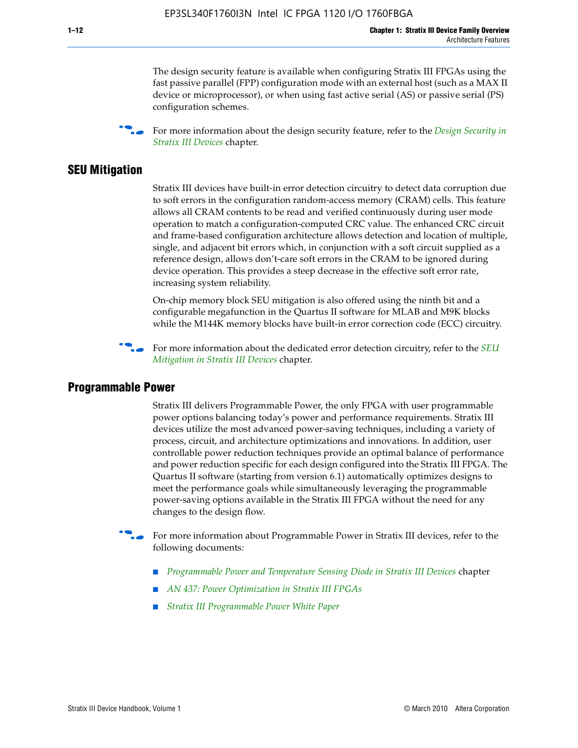The design security feature is available when configuring Stratix III FPGAs using the fast passive parallel (FPP) configuration mode with an external host (such as a MAX II device or microprocessor), or when using fast active serial (AS) or passive serial (PS) configuration schemes.

f For more information about the design security feature, refer to the *[Design Security in](http://www.altera.com/literature/hb/stx3/stx3_siii51014.pdf)  [Stratix III Devices](http://www.altera.com/literature/hb/stx3/stx3_siii51014.pdf)* chapter.

### **SEU Mitigation**

Stratix III devices have built-in error detection circuitry to detect data corruption due to soft errors in the configuration random-access memory (CRAM) cells. This feature allows all CRAM contents to be read and verified continuously during user mode operation to match a configuration-computed CRC value. The enhanced CRC circuit and frame-based configuration architecture allows detection and location of multiple, single, and adjacent bit errors which, in conjunction with a soft circuit supplied as a reference design, allows don't-care soft errors in the CRAM to be ignored during device operation. This provides a steep decrease in the effective soft error rate, increasing system reliability.

On-chip memory block SEU mitigation is also offered using the ninth bit and a configurable megafunction in the Quartus II software for MLAB and M9K blocks while the M144K memory blocks have built-in error correction code (ECC) circuitry.

For more information about the dedicated error detection circuitry, refer to the *SEU [Mitigation in Stratix III Devices](http://www.altera.com/literature/hb/stx3/stx3_siii51015.pdf)* chapter.

#### **Programmable Power**

Stratix III delivers Programmable Power, the only FPGA with user programmable power options balancing today's power and performance requirements. Stratix III devices utilize the most advanced power-saving techniques, including a variety of process, circuit, and architecture optimizations and innovations. In addition, user controllable power reduction techniques provide an optimal balance of performance and power reduction specific for each design configured into the Stratix III FPGA. The Quartus II software (starting from version 6.1) automatically optimizes designs to meet the performance goals while simultaneously leveraging the programmable power-saving options available in the Stratix III FPGA without the need for any changes to the design flow.

For more information about Programmable Power in Stratix III devices, refer to the following documents:

- *[Programmable Power and Temperature Sensing Diode in Stratix III Devices](http://www.altera.com/literature/hb/stx3/stx3_siii51016.pdf)* chapter
- *[AN 437: Power Optimization in Stratix III FPGAs](http://www.altera.com/literature/an/AN437.pdf)*
- *[Stratix III Programmable Power White Paper](http://www.altera.com/literature/wp/wp-01006.pdf)*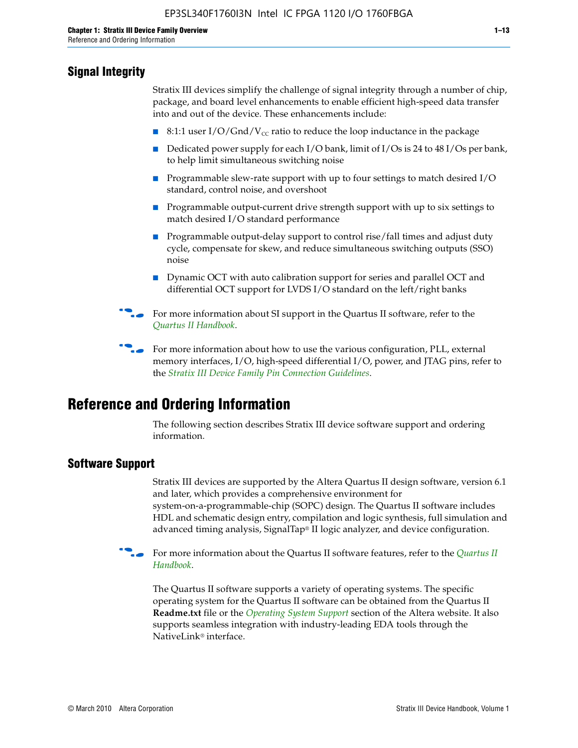# **Signal Integrity**

Stratix III devices simplify the challenge of signal integrity through a number of chip, package, and board level enhancements to enable efficient high-speed data transfer into and out of the device. These enhancements include:

- 8:1:1 user I/O/Gnd/V<sub>cc</sub> ratio to reduce the loop inductance in the package
- Dedicated power supply for each I/O bank, limit of I/Os is 24 to 48 I/Os per bank, to help limit simultaneous switching noise
- Programmable slew-rate support with up to four settings to match desired I/O standard, control noise, and overshoot
- Programmable output-current drive strength support with up to six settings to match desired I/O standard performance
- Programmable output-delay support to control rise/fall times and adjust duty cycle, compensate for skew, and reduce simultaneous switching outputs (SSO) noise
- Dynamic OCT with auto calibration support for series and parallel OCT and differential OCT support for LVDS I/O standard on the left/right banks
- For mor[e](http://www.altera.com/literature/hb/qts/quartusii_handbook.pdf) information about SI support in the Quartus II software, refer to the *[Quartus II Handbook](http://www.altera.com/literature/hb/qts/quartusii_handbook.pdf)*.

For more information about how to use the various configuration, PLL, external memory interfaces, I/O, high-speed differential I/O, power, and JTAG pins, refer to the *[Stratix III Device Family Pin Connection Guidelines](http://www.altera.com/literature/dp/stx3/PCG-01004.pdf)*.

# **Reference and Ordering Information**

The following section describes Stratix III device software support and ordering information.

# **Software Support**

Stratix III devices are supported by the Altera Quartus II design software, version 6.1 and later, which provides a comprehensive environment for system-on-a-programmable-chip (SOPC) design. The Quartus II software includes HDL and schematic design entry, compilation and logic synthesis, full simulation and advanced timing analysis, SignalTap® II logic analyzer, and device configuration.

**for more information about the [Quartus II](http://www.altera.com/literature/hb/qts/quartusii_handbook.pdf) software features, refer to the** *Quartus II* **<b>For all 2** *[Handbook](http://www.altera.com/literature/hb/qts/quartusii_handbook.pdf)*.

The Quartus II software supports a variety of operating systems. The specific operating system for the Quartus II software can be obtained from the Quartus II **Readme.txt** file or the *[Operating System Support](http://www.altera.com/support/software/os_support/oss-index.html)* section of the Altera website. It also supports seamless integration with industry-leading EDA tools through the NativeLink® interface.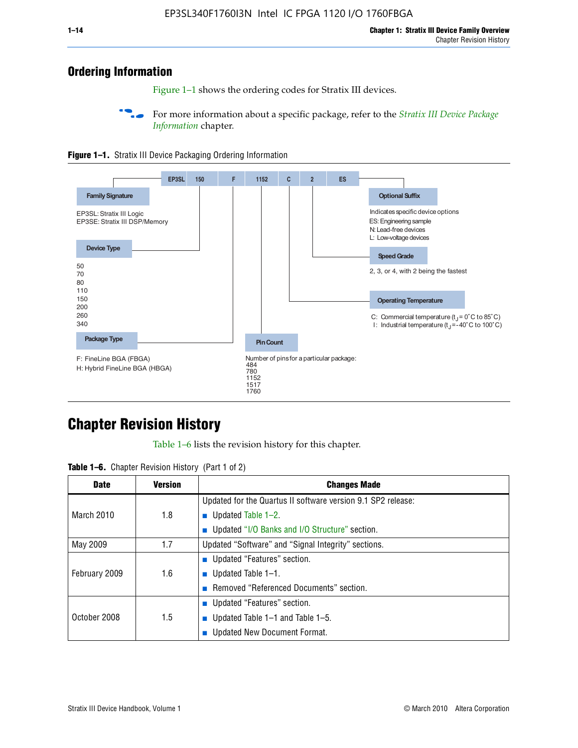# **Ordering Information**

Figure 1–1 shows the ordering codes for Stratix III devices.

For more information about a specific package, refer to the *Stratix III Device Package [Information](http://www.altera.com/literature/hb/stx3/stx3_siii51017.pdf)* chapter.





# **[C](http://www.altera.com/literature/hb/stx3/stx3_siii51012.pdf)hapter Revision History**

Table 1–6 lists the revision history for this chapter.

| <b>Table 1–6.</b> Chapter Revision History (Part 1 of 2) |  |  |  |  |  |
|----------------------------------------------------------|--|--|--|--|--|
|----------------------------------------------------------|--|--|--|--|--|

| <b>Date</b>       | <b>Version</b> | <b>Changes Made</b>                                          |
|-------------------|----------------|--------------------------------------------------------------|
|                   |                | Updated for the Quartus II software version 9.1 SP2 release: |
| <b>March 2010</b> | 1.8            | <b>u</b> Updated Table $1-2$ .                               |
|                   |                | ■ Updated "I/O Banks and I/O Structure" section.             |
| May 2009          | 1.7            | Updated "Software" and "Signal Integrity" sections.          |
|                   |                | ■ Updated "Features" section.                                |
| February 2009     | 1.6            | <b>u</b> Updated Table $1-1$ .                               |
|                   |                | Removed "Referenced Documents" section.                      |
|                   |                | ■ Updated "Features" section.                                |
| October 2008      | 1.5            | ■ Updated Table $1-1$ and Table $1-5$ .                      |
|                   |                | Updated New Document Format.                                 |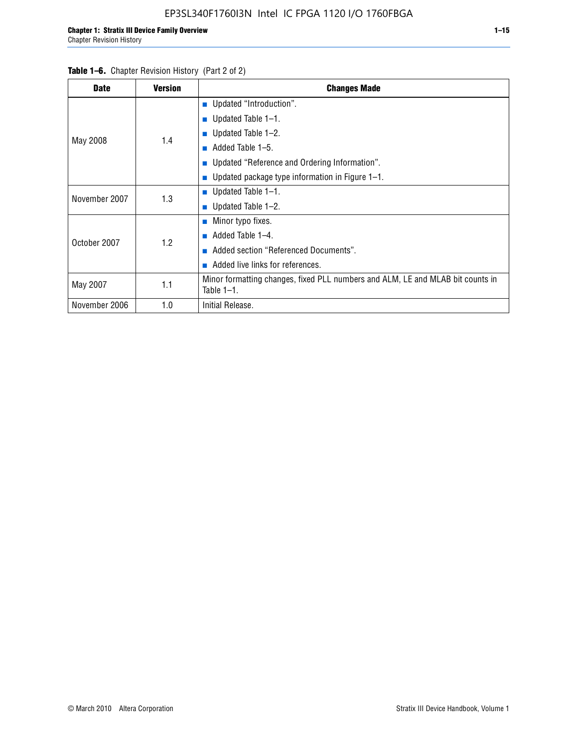#### Table 1–6. Chapter Revision History (Part 2 of 2)

| <b>Date</b>   | <b>Version</b> | <b>Changes Made</b>                                                                             |  |  |  |
|---------------|----------------|-------------------------------------------------------------------------------------------------|--|--|--|
|               |                | <b>Updated "Introduction".</b>                                                                  |  |  |  |
|               |                | ■ Updated Table $1-1$ .                                                                         |  |  |  |
|               | 1.4            | Updated Table 1-2.                                                                              |  |  |  |
| May 2008      |                | Added Table 1-5.<br>ш                                                                           |  |  |  |
|               |                | ■ Updated "Reference and Ordering Information".                                                 |  |  |  |
|               |                | Updated package type information in Figure 1-1.                                                 |  |  |  |
| November 2007 | 1.3            | ■ Updated Table $1-1$ .                                                                         |  |  |  |
|               |                | ■ Updated Table $1-2$ .                                                                         |  |  |  |
|               |                | ■ Minor typo fixes.                                                                             |  |  |  |
| October 2007  | 1.2            | Added Table 1-4.                                                                                |  |  |  |
|               |                | Added section "Referenced Documents".                                                           |  |  |  |
|               |                | Added live links for references.                                                                |  |  |  |
| May 2007      | 1.1            | Minor formatting changes, fixed PLL numbers and ALM, LE and MLAB bit counts in<br>Table $1-1$ . |  |  |  |
| November 2006 | 1.0            | Initial Release.                                                                                |  |  |  |